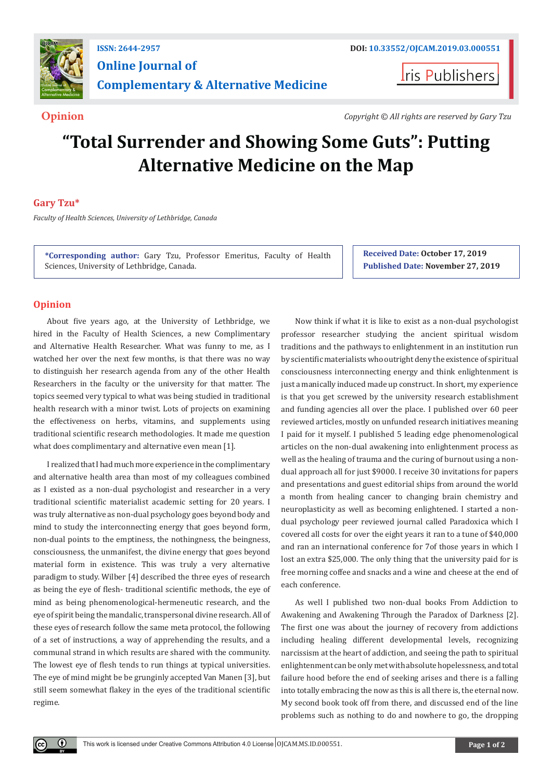

**Iris Publishers** 

**Opinion** *Copyright © All rights are reserved by Gary Tzu*

# **"Total Surrender and Showing Some Guts": Putting Alternative Medicine on the Map**

# **Gary Tzu\***

*Faculty of Health Sciences, University of Lethbridge, Canada*

**\*Corresponding author:** Gary Tzu, Professor Emeritus, Faculty of Health Sciences, University of Lethbridge, Canada.

**Received Date: October 17, 2019 Published Date: November 27, 2019**

# **Opinion**

 $\bf \odot$ 

About five years ago, at the University of Lethbridge, we hired in the Faculty of Health Sciences, a new Complimentary and Alternative Health Researcher. What was funny to me, as I watched her over the next few months, is that there was no way to distinguish her research agenda from any of the other Health Researchers in the faculty or the university for that matter. The topics seemed very typical to what was being studied in traditional health research with a minor twist. Lots of projects on examining the effectiveness on herbs, vitamins, and supplements using traditional scientific research methodologies. It made me question what does complimentary and alternative even mean [1].

I realized that I had much more experience in the complimentary and alternative health area than most of my colleagues combined as I existed as a non-dual psychologist and researcher in a very traditional scientific materialist academic setting for 20 years. I was truly alternative as non-dual psychology goes beyond body and mind to study the interconnecting energy that goes beyond form, non-dual points to the emptiness, the nothingness, the beingness, consciousness, the unmanifest, the divine energy that goes beyond material form in existence. This was truly a very alternative paradigm to study. Wilber [4] described the three eyes of research as being the eye of flesh- traditional scientific methods, the eye of mind as being phenomenological-hermeneutic research, and the eye of spirit being the mandalic, transpersonal divine research. All of these eyes of research follow the same meta protocol, the following of a set of instructions, a way of apprehending the results, and a communal strand in which results are shared with the community. The lowest eye of flesh tends to run things at typical universities. The eye of mind might be be grunginly accepted Van Manen [3], but still seem somewhat flakey in the eyes of the traditional scientific regime.

Now think if what it is like to exist as a non-dual psychologist professor researcher studying the ancient spiritual wisdom traditions and the pathways to enlightenment in an institution run by scientific materialists who outright deny the existence of spiritual consciousness interconnecting energy and think enlightenment is just a manically induced made up construct. In short, my experience is that you get screwed by the university research establishment and funding agencies all over the place. I published over 60 peer reviewed articles, mostly on unfunded research initiatives meaning I paid for it myself. I published 5 leading edge phenomenological articles on the non-dual awakening into enlightenment process as well as the healing of trauma and the curing of burnout using a nondual approach all for just \$9000. I receive 30 invitations for papers and presentations and guest editorial ships from around the world a month from healing cancer to changing brain chemistry and neuroplasticity as well as becoming enlightened. I started a nondual psychology peer reviewed journal called Paradoxica which I covered all costs for over the eight years it ran to a tune of \$40,000 and ran an international conference for 7of those years in which I lost an extra \$25,000. The only thing that the university paid for is free morning coffee and snacks and a wine and cheese at the end of each conference.

As well I published two non-dual books From Addiction to Awakening and Awakening Through the Paradox of Darkness [2]. The first one was about the journey of recovery from addictions including healing different developmental levels, recognizing narcissism at the heart of addiction, and seeing the path to spiritual enlightenment can be only met with absolute hopelessness, and total failure hood before the end of seeking arises and there is a falling into totally embracing the now as this is all there is, the eternal now. My second book took off from there, and discussed end of the line problems such as nothing to do and nowhere to go, the dropping